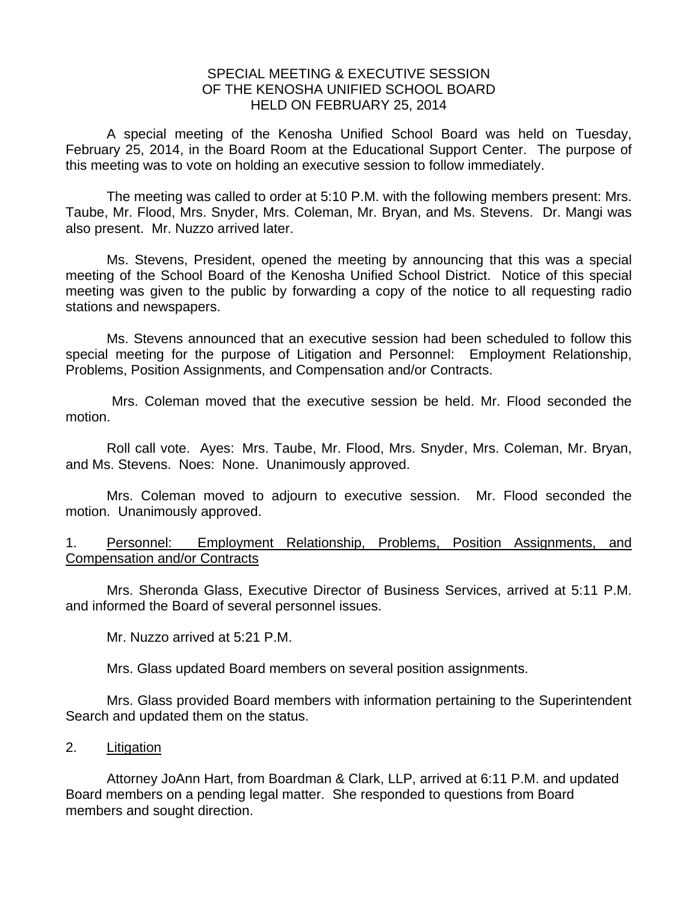## SPECIAL MEETING & EXECUTIVE SESSION OF THE KENOSHA UNIFIED SCHOOL BOARD HELD ON FEBRUARY 25, 2014

A special meeting of the Kenosha Unified School Board was held on Tuesday, February 25, 2014, in the Board Room at the Educational Support Center. The purpose of this meeting was to vote on holding an executive session to follow immediately.

 The meeting was called to order at 5:10 P.M. with the following members present: Mrs. Taube, Mr. Flood, Mrs. Snyder, Mrs. Coleman, Mr. Bryan, and Ms. Stevens. Dr. Mangi was also present. Mr. Nuzzo arrived later.

 Ms. Stevens, President, opened the meeting by announcing that this was a special meeting of the School Board of the Kenosha Unified School District. Notice of this special meeting was given to the public by forwarding a copy of the notice to all requesting radio stations and newspapers.

 Ms. Stevens announced that an executive session had been scheduled to follow this special meeting for the purpose of Litigation and Personnel: Employment Relationship, Problems, Position Assignments, and Compensation and/or Contracts.

 Mrs. Coleman moved that the executive session be held. Mr. Flood seconded the motion.

 Roll call vote. Ayes: Mrs. Taube, Mr. Flood, Mrs. Snyder, Mrs. Coleman, Mr. Bryan, and Ms. Stevens. Noes: None. Unanimously approved.

 Mrs. Coleman moved to adjourn to executive session. Mr. Flood seconded the motion. Unanimously approved.

1. Personnel: Employment Relationship, Problems, Position Assignments, and Compensation and/or Contracts

 Mrs. Sheronda Glass, Executive Director of Business Services, arrived at 5:11 P.M. and informed the Board of several personnel issues.

Mr. Nuzzo arrived at 5:21 P.M.

Mrs. Glass updated Board members on several position assignments.

Mrs. Glass provided Board members with information pertaining to the Superintendent Search and updated them on the status.

## 2. Litigation

 Attorney JoAnn Hart, from Boardman & Clark, LLP, arrived at 6:11 P.M. and updated Board members on a pending legal matter. She responded to questions from Board members and sought direction.